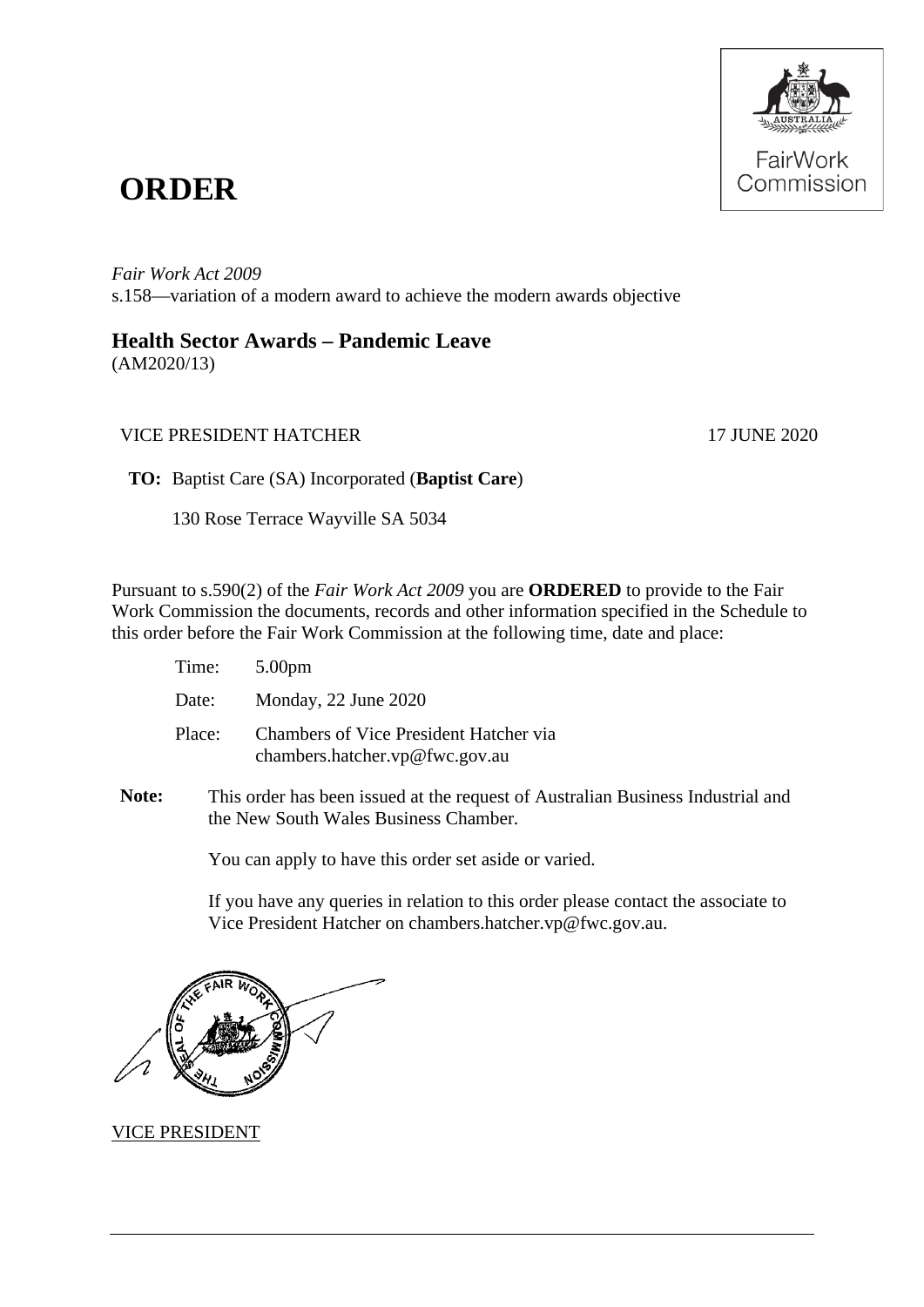

## **ORDER**

*Fair Work Act 2009*  s.158—variation of a modern award to achieve the modern awards objective

## **Health Sector Awards – Pandemic Leave**

(AM2020/13)

## VICE PRESIDENT HATCHER 17 JUNE 2020

**TO:** Baptist Care (SA) Incorporated (**Baptist Care**)

130 Rose Terrace Wayville SA 5034

Pursuant to s.590(2) of the *Fair Work Act 2009* you are **ORDERED** to provide to the Fair Work Commission the documents, records and other information specified in the Schedule to this order before the Fair Work Commission at the following time, date and place:

| Time:  | 5.00 <sub>pm</sub>                                                       |
|--------|--------------------------------------------------------------------------|
| Date:  | Monday, 22 June 2020                                                     |
| Place: | Chambers of Vice President Hatcher via<br>chambers.hatcher.vp@fwc.gov.au |

**Note:** This order has been issued at the request of Australian Business Industrial and the New South Wales Business Chamber*.*

You can apply to have this order set aside or varied.

If you have any queries in relation to this order please contact the associate to Vice President Hatcher on chambers.hatcher.vp@fwc.gov.au.



VICE PRESIDENT